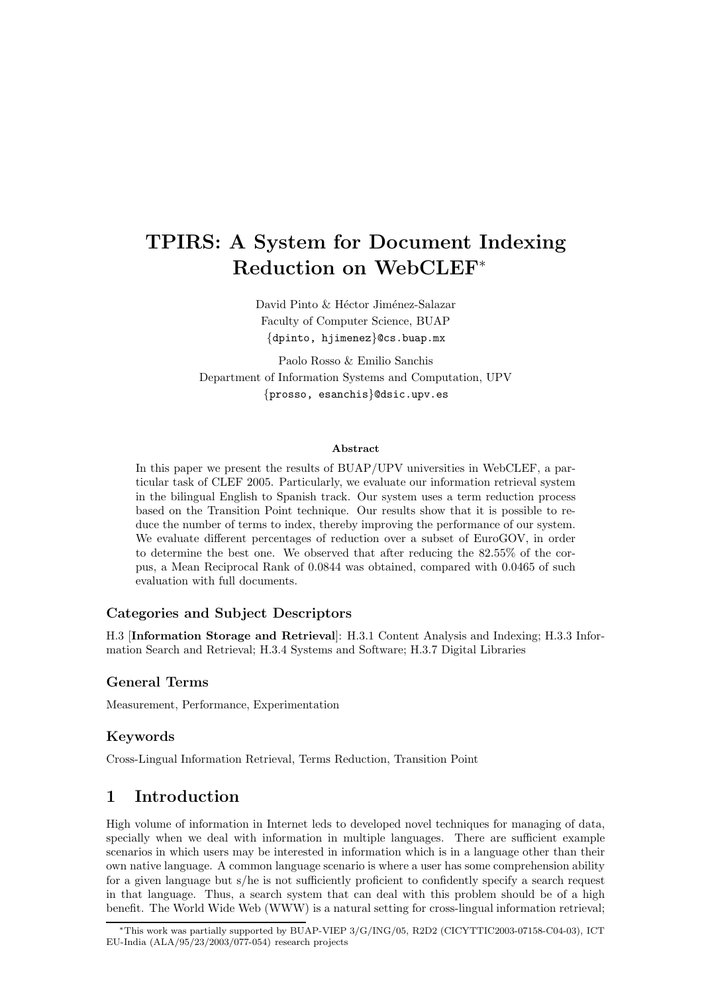# TPIRS: A System for Document Indexing Reduction on WebCLEF<sup>∗</sup>

David Pinto & Héctor Jiménez-Salazar Faculty of Computer Science, BUAP {dpinto, hjimenez}@cs.buap.mx

Paolo Rosso & Emilio Sanchis Department of Information Systems and Computation, UPV {prosso, esanchis}@dsic.upv.es

#### Abstract

In this paper we present the results of BUAP/UPV universities in WebCLEF, a particular task of CLEF 2005. Particularly, we evaluate our information retrieval system in the bilingual English to Spanish track. Our system uses a term reduction process based on the Transition Point technique. Our results show that it is possible to reduce the number of terms to index, thereby improving the performance of our system. We evaluate different percentages of reduction over a subset of EuroGOV, in order to determine the best one. We observed that after reducing the 82.55% of the corpus, a Mean Reciprocal Rank of 0.0844 was obtained, compared with 0.0465 of such evaluation with full documents.

## Categories and Subject Descriptors

H.3 [Information Storage and Retrieval]: H.3.1 Content Analysis and Indexing; H.3.3 Information Search and Retrieval; H.3.4 Systems and Software; H.3.7 Digital Libraries

## General Terms

Measurement, Performance, Experimentation

## Keywords

Cross-Lingual Information Retrieval, Terms Reduction, Transition Point

# 1 Introduction

High volume of information in Internet leds to developed novel techniques for managing of data, specially when we deal with information in multiple languages. There are sufficient example scenarios in which users may be interested in information which is in a language other than their own native language. A common language scenario is where a user has some comprehension ability for a given language but s/he is not sufficiently proficient to confidently specify a search request in that language. Thus, a search system that can deal with this problem should be of a high benefit. The World Wide Web (WWW) is a natural setting for cross-lingual information retrieval;

<sup>∗</sup>This work was partially supported by BUAP-VIEP 3/G/ING/05, R2D2 (CICYTTIC2003-07158-C04-03), ICT EU-India  $(ALA/95/23/2003/077-054)$  research projects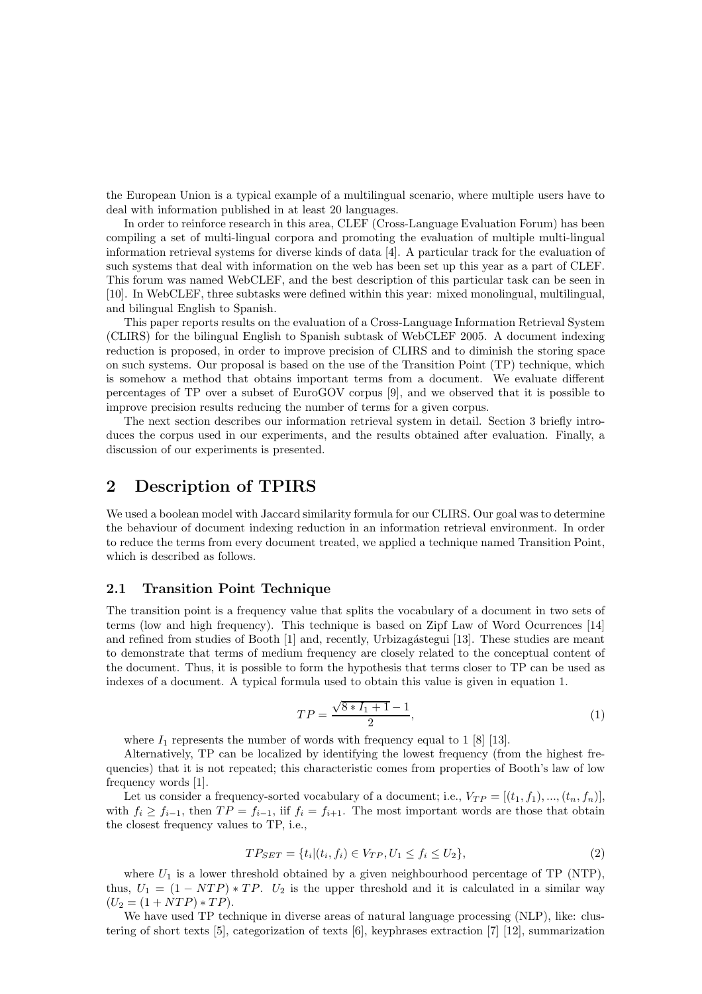the European Union is a typical example of a multilingual scenario, where multiple users have to deal with information published in at least 20 languages.

In order to reinforce research in this area, CLEF (Cross-Language Evaluation Forum) has been compiling a set of multi-lingual corpora and promoting the evaluation of multiple multi-lingual information retrieval systems for diverse kinds of data [4]. A particular track for the evaluation of such systems that deal with information on the web has been set up this year as a part of CLEF. This forum was named WebCLEF, and the best description of this particular task can be seen in [10]. In WebCLEF, three subtasks were defined within this year: mixed monolingual, multilingual, and bilingual English to Spanish.

This paper reports results on the evaluation of a Cross-Language Information Retrieval System (CLIRS) for the bilingual English to Spanish subtask of WebCLEF 2005. A document indexing reduction is proposed, in order to improve precision of CLIRS and to diminish the storing space on such systems. Our proposal is based on the use of the Transition Point (TP) technique, which is somehow a method that obtains important terms from a document. We evaluate different percentages of TP over a subset of EuroGOV corpus [9], and we observed that it is possible to improve precision results reducing the number of terms for a given corpus.

The next section describes our information retrieval system in detail. Section 3 briefly introduces the corpus used in our experiments, and the results obtained after evaluation. Finally, a discussion of our experiments is presented.

## 2 Description of TPIRS

We used a boolean model with Jaccard similarity formula for our CLIRS. Our goal was to determine the behaviour of document indexing reduction in an information retrieval environment. In order to reduce the terms from every document treated, we applied a technique named Transition Point, which is described as follows.

#### 2.1 Transition Point Technique

The transition point is a frequency value that splits the vocabulary of a document in two sets of terms (low and high frequency). This technique is based on Zipf Law of Word Ocurrences [14] and refined from studies of Booth [1] and, recently, Urbizagástegui [13]. These studies are meant to demonstrate that terms of medium frequency are closely related to the conceptual content of the document. Thus, it is possible to form the hypothesis that terms closer to TP can be used as indexes of a document. A typical formula used to obtain this value is given in equation 1.

$$
TP = \frac{\sqrt{8 \cdot I_1 + 1} - 1}{2},\tag{1}
$$

where  $I_1$  represents the number of words with frequency equal to 1 [8] [13].

Alternatively, TP can be localized by identifying the lowest frequency (from the highest frequencies) that it is not repeated; this characteristic comes from properties of Booth's law of low frequency words [1].

Let us consider a frequency-sorted vocabulary of a document; i.e.,  $V_{TP} = [(t_1, f_1), ..., (t_n, f_n)],$ with  $f_i \ge f_{i-1}$ , then  $TP = f_{i-1}$ , iif  $f_i = f_{i+1}$ . The most important words are those that obtain the closest frequency values to TP, i.e.,

$$
TP_{SET} = \{t_i | (t_i, f_i) \in V_{TP}, U_1 \le f_i \le U_2\},\tag{2}
$$

where  $U_1$  is a lower threshold obtained by a given neighbourhood percentage of TP (NTP), thus,  $U_1 = (1 - NTP) * TP$ .  $U_2$  is the upper threshold and it is calculated in a similar way  $(U_2 = (1 + NTP) * TP).$ 

We have used TP technique in diverse areas of natural language processing (NLP), like: clustering of short texts [5], categorization of texts [6], keyphrases extraction [7] [12], summarization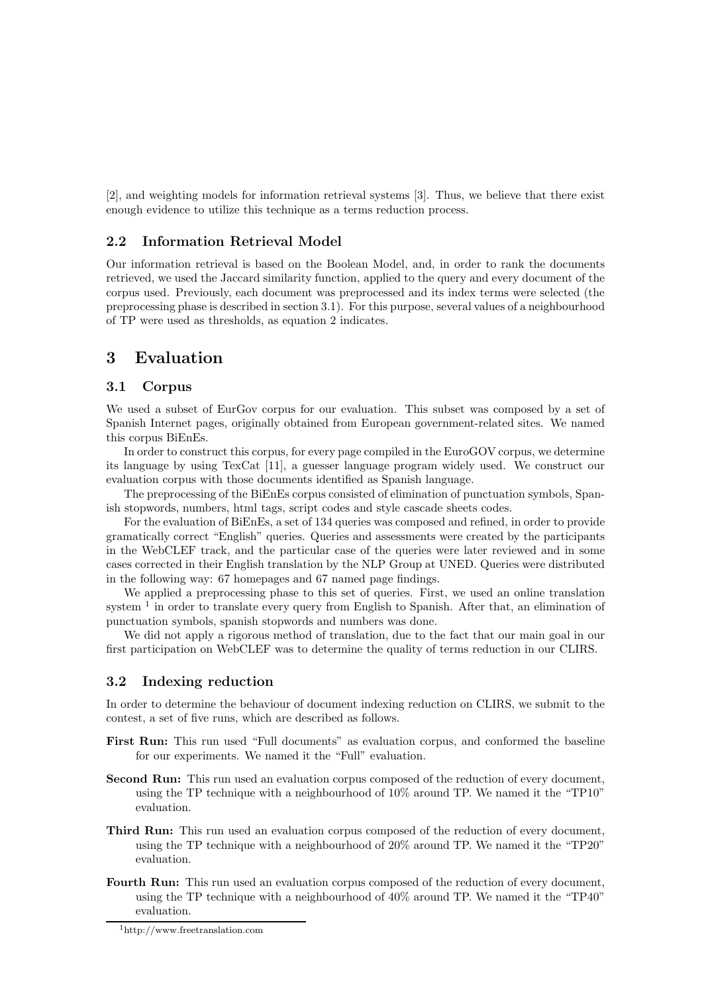[2], and weighting models for information retrieval systems [3]. Thus, we believe that there exist enough evidence to utilize this technique as a terms reduction process.

#### 2.2 Information Retrieval Model

Our information retrieval is based on the Boolean Model, and, in order to rank the documents retrieved, we used the Jaccard similarity function, applied to the query and every document of the corpus used. Previously, each document was preprocessed and its index terms were selected (the preprocessing phase is described in section 3.1). For this purpose, several values of a neighbourhood of TP were used as thresholds, as equation 2 indicates.

# 3 Evaluation

#### 3.1 Corpus

We used a subset of EurGov corpus for our evaluation. This subset was composed by a set of Spanish Internet pages, originally obtained from European government-related sites. We named this corpus BiEnEs.

In order to construct this corpus, for every page compiled in the EuroGOV corpus, we determine its language by using TexCat [11], a guesser language program widely used. We construct our evaluation corpus with those documents identified as Spanish language.

The preprocessing of the BiEnEs corpus consisted of elimination of punctuation symbols, Spanish stopwords, numbers, html tags, script codes and style cascade sheets codes.

For the evaluation of BiEnEs, a set of 134 queries was composed and refined, in order to provide gramatically correct "English" queries. Queries and assessments were created by the participants in the WebCLEF track, and the particular case of the queries were later reviewed and in some cases corrected in their English translation by the NLP Group at UNED. Queries were distributed in the following way: 67 homepages and 67 named page findings.

We applied a preprocessing phase to this set of queries. First, we used an online translation system<sup>1</sup> in order to translate every query from English to Spanish. After that, an elimination of punctuation symbols, spanish stopwords and numbers was done.

We did not apply a rigorous method of translation, due to the fact that our main goal in our first participation on WebCLEF was to determine the quality of terms reduction in our CLIRS.

#### 3.2 Indexing reduction

In order to determine the behaviour of document indexing reduction on CLIRS, we submit to the contest, a set of five runs, which are described as follows.

- First Run: This run used "Full documents" as evaluation corpus, and conformed the baseline for our experiments. We named it the "Full" evaluation.
- Second Run: This run used an evaluation corpus composed of the reduction of every document, using the TP technique with a neighbourhood of 10% around TP. We named it the "TP10" evaluation.
- Third Run: This run used an evaluation corpus composed of the reduction of every document, using the TP technique with a neighbourhood of 20% around TP. We named it the "TP20" evaluation.
- Fourth Run: This run used an evaluation corpus composed of the reduction of every document, using the TP technique with a neighbourhood of 40% around TP. We named it the "TP40" evaluation.

<sup>1</sup>http://www.freetranslation.com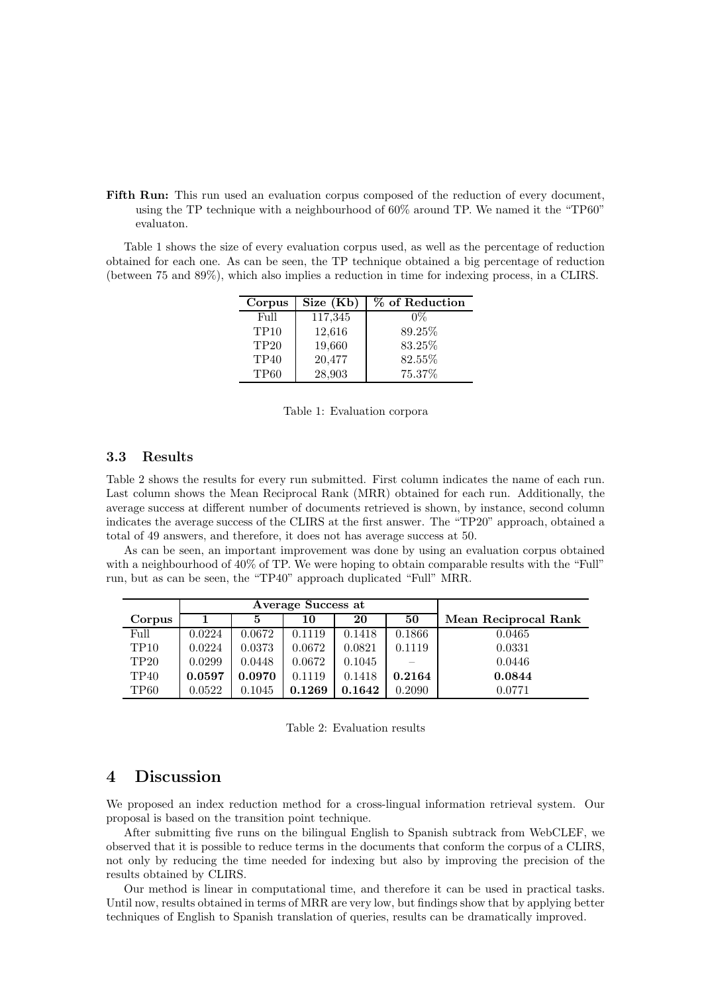Fifth Run: This run used an evaluation corpus composed of the reduction of every document, using the TP technique with a neighbourhood of 60% around TP. We named it the "TP60" evaluaton.

Table 1 shows the size of every evaluation corpus used, as well as the percentage of reduction obtained for each one. As can be seen, the TP technique obtained a big percentage of reduction (between 75 and 89%), which also implies a reduction in time for indexing process, in a CLIRS.

| Corpus      | Size (Kb) | % of Reduction |
|-------------|-----------|----------------|
| Full        | 117,345   | 0%             |
| <b>TP10</b> | 12,616    | 89.25%         |
| <b>TP20</b> | 19,660    | 83.25%         |
| <b>TP40</b> | 20,477    | 82.55%         |
| TP60        | 28,903    | 75.37%         |

Table 1: Evaluation corpora

## 3.3 Results

Table 2 shows the results for every run submitted. First column indicates the name of each run. Last column shows the Mean Reciprocal Rank (MRR) obtained for each run. Additionally, the average success at different number of documents retrieved is shown, by instance, second column indicates the average success of the CLIRS at the first answer. The "TP20" approach, obtained a total of 49 answers, and therefore, it does not has average success at 50.

As can be seen, an important improvement was done by using an evaluation corpus obtained with a neighbourhood of 40% of TP. We were hoping to obtain comparable results with the "Full" run, but as can be seen, the "TP40" approach duplicated "Full" MRR.

|                  | Average Success at |              |        |        |        |                      |
|------------------|--------------------|--------------|--------|--------|--------|----------------------|
| Corpus           |                    |              | 10     | 20     | 50     | Mean Reciprocal Rank |
| Full             | 0.0224             | 0.0672       | 0.1119 | 0.1418 | 0.1866 | 0.0465               |
| TP <sub>10</sub> | 0.0224             | 0.0373       | 0.0672 | 0.0821 | 0.1119 | 0.0331               |
| TP20             | 0.0299             | 0.0448       | 0.0672 | 0.1045 |        | 0.0446               |
| TP40             | 0.0597             | 0.0970       | 0.1119 | 0.1418 | 0.2164 | 0.0844               |
| TP <sub>60</sub> | 0.0522             | $\,0.1045\,$ | 0.1269 | 0.1642 | 0.2090 | 0.0771               |

Table 2: Evaluation results

# 4 Discussion

We proposed an index reduction method for a cross-lingual information retrieval system. Our proposal is based on the transition point technique.

After submitting five runs on the bilingual English to Spanish subtrack from WebCLEF, we observed that it is possible to reduce terms in the documents that conform the corpus of a CLIRS, not only by reducing the time needed for indexing but also by improving the precision of the results obtained by CLIRS.

Our method is linear in computational time, and therefore it can be used in practical tasks. Until now, results obtained in terms of MRR are very low, but findings show that by applying better techniques of English to Spanish translation of queries, results can be dramatically improved.